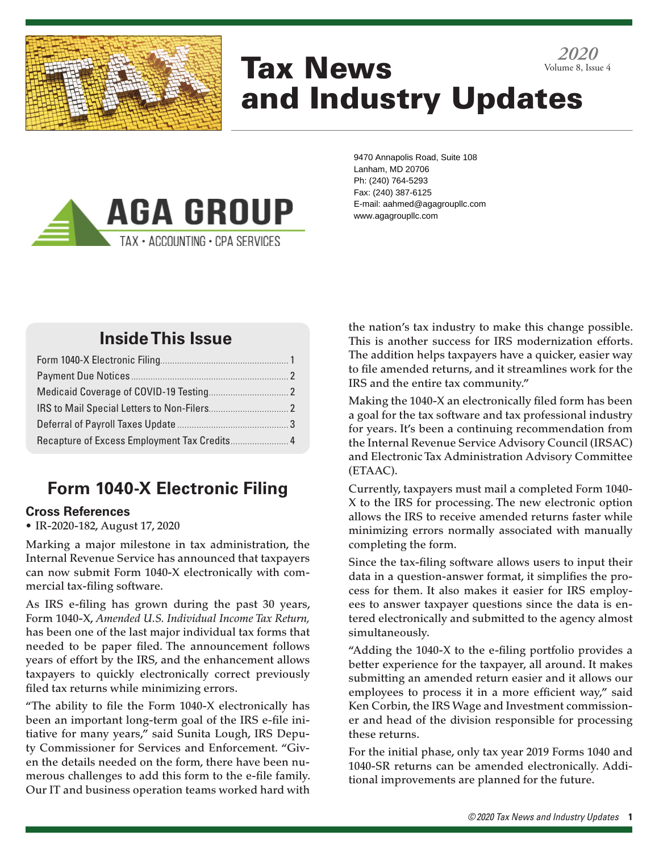

# Tax News and Industry Updates *2020* Volume 8, Issue 4



9470 Annapolis Road, Suite 108 Lanham, MD 20706 Ph: (240) 764-5293 Fax: (240) 387-6125 E-mail: aahmed@agagroupllc.com www.agagroupllc.com

## **Inside This Issue**

# **Form 1040-X Electronic Filing**

### **Cross References**

• IR-2020-182, August 17, 2020

Marking a major milestone in tax administration, the Internal Revenue Service has announced that taxpayers can now submit Form 1040-X electronically with commercial tax-filing software.

As IRS e-filing has grown during the past 30 years, Form 1040-X, *Amended U.S. Individual Income Tax Return,* has been one of the last major individual tax forms that needed to be paper filed. The announcement follows years of effort by the IRS, and the enhancement allows taxpayers to quickly electronically correct previously filed tax returns while minimizing errors.

"The ability to file the Form 1040-X electronically has been an important long-term goal of the IRS e-file initiative for many years," said Sunita Lough, IRS Deputy Commissioner for Services and Enforcement. "Given the details needed on the form, there have been numerous challenges to add this form to the e-file family. Our IT and business operation teams worked hard with

the nation's tax industry to make this change possible. This is another success for IRS modernization efforts. The addition helps taxpayers have a quicker, easier way to file amended returns, and it streamlines work for the IRS and the entire tax community."

Making the 1040-X an electronically filed form has been a goal for the tax software and tax professional industry for years. It's been a continuing recommendation from the Internal Revenue Service Advisory Council (IRSAC) and Electronic Tax Administration Advisory Committee (ETAAC).

Currently, taxpayers must mail a completed Form 1040- X to the IRS for processing. The new electronic option allows the IRS to receive amended returns faster while minimizing errors normally associated with manually completing the form.

Since the tax-filing software allows users to input their data in a question-answer format, it simplifies the process for them. It also makes it easier for IRS employees to answer taxpayer questions since the data is entered electronically and submitted to the agency almost simultaneously.

"Adding the 1040-X to the e-filing portfolio provides a better experience for the taxpayer, all around. It makes submitting an amended return easier and it allows our employees to process it in a more efficient way," said Ken Corbin, the IRS Wage and Investment commissioner and head of the division responsible for processing these returns.

For the initial phase, only tax year 2019 Forms 1040 and 1040-SR returns can be amended electronically. Additional improvements are planned for the future.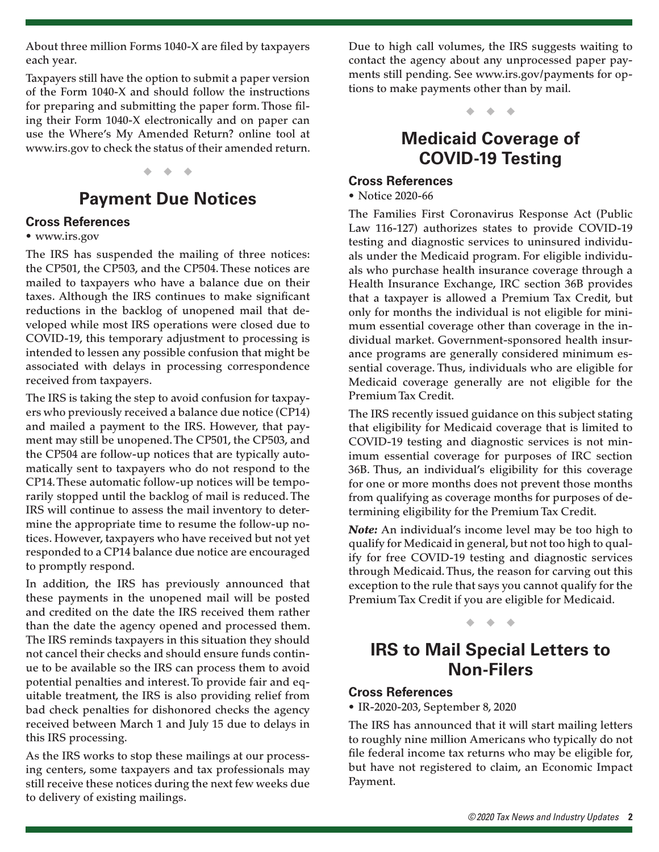About three million Forms 1040-X are filed by taxpayers each year.

Taxpayers still have the option to submit a paper version of the Form 1040-X and should follow the instructions for preparing and submitting the paper form. Those filing their Form 1040-X electronically and on paper can use the Where's My Amended Return? online tool at www.irs.gov to check the status of their amended return.

#### ◆ ◆ ◆

### **Payment Due Notices**

#### **Cross References**

#### • www.irs.gov

The IRS has suspended the mailing of three notices: the CP501, the CP503, and the CP504. These notices are mailed to taxpayers who have a balance due on their taxes. Although the IRS continues to make significant reductions in the backlog of unopened mail that developed while most IRS operations were closed due to COVID-19, this temporary adjustment to processing is intended to lessen any possible confusion that might be associated with delays in processing correspondence received from taxpayers.

The IRS is taking the step to avoid confusion for taxpayers who previously received a balance due notice (CP14) and mailed a payment to the IRS. However, that payment may still be unopened. The CP501, the CP503, and the CP504 are follow-up notices that are typically automatically sent to taxpayers who do not respond to the CP14. These automatic follow-up notices will be temporarily stopped until the backlog of mail is reduced. The IRS will continue to assess the mail inventory to determine the appropriate time to resume the follow-up notices. However, taxpayers who have received but not yet responded to a CP14 balance due notice are encouraged to promptly respond.

In addition, the IRS has previously announced that these payments in the unopened mail will be posted and credited on the date the IRS received them rather than the date the agency opened and processed them. The IRS reminds taxpayers in this situation they should not cancel their checks and should ensure funds continue to be available so the IRS can process them to avoid potential penalties and interest. To provide fair and equitable treatment, the IRS is also providing relief from bad check penalties for dishonored checks the agency received between March 1 and July 15 due to delays in this IRS processing.

As the IRS works to stop these mailings at our processing centers, some taxpayers and tax professionals may still receive these notices during the next few weeks due to delivery of existing mailings.

Due to high call volumes, the IRS suggests waiting to contact the agency about any unprocessed paper payments still pending. See www.irs.gov/payments for options to make payments other than by mail.

◆ ◆ ◆

### **Medicaid Coverage of COVID-19 Testing**

#### **Cross References**

• Notice 2020-66

The Families First Coronavirus Response Act (Public Law 116-127) authorizes states to provide COVID-19 testing and diagnostic services to uninsured individuals under the Medicaid program. For eligible individuals who purchase health insurance coverage through a Health Insurance Exchange, IRC section 36B provides that a taxpayer is allowed a Premium Tax Credit, but only for months the individual is not eligible for minimum essential coverage other than coverage in the individual market. Government-sponsored health insurance programs are generally considered minimum essential coverage. Thus, individuals who are eligible for Medicaid coverage generally are not eligible for the Premium Tax Credit.

The IRS recently issued guidance on this subject stating that eligibility for Medicaid coverage that is limited to COVID-19 testing and diagnostic services is not minimum essential coverage for purposes of IRC section 36B. Thus, an individual's eligibility for this coverage for one or more months does not prevent those months from qualifying as coverage months for purposes of determining eligibility for the Premium Tax Credit.

*Note:* An individual's income level may be too high to qualify for Medicaid in general, but not too high to qualify for free COVID-19 testing and diagnostic services through Medicaid. Thus, the reason for carving out this exception to the rule that says you cannot qualify for the Premium Tax Credit if you are eligible for Medicaid.

#### ◆ ◆ ◆

### **IRS to Mail Special Letters to Non-Filers**

#### **Cross References**

• IR-2020-203, September 8, 2020

The IRS has announced that it will start mailing letters to roughly nine million Americans who typically do not file federal income tax returns who may be eligible for, but have not registered to claim, an Economic Impact Payment.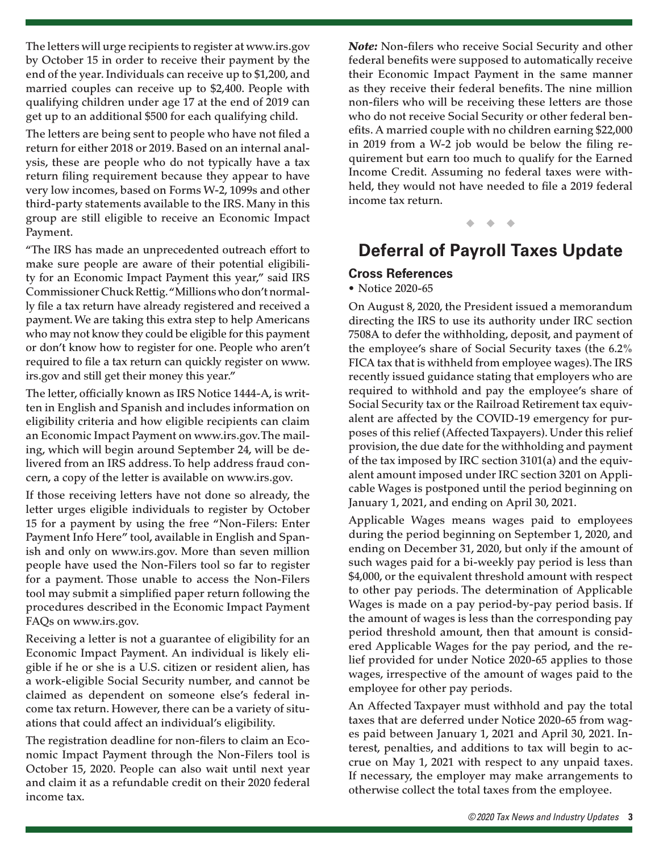The letters will urge recipients to register at www.irs.gov by October 15 in order to receive their payment by the end of the year. Individuals can receive up to \$1,200, and married couples can receive up to \$2,400. People with qualifying children under age 17 at the end of 2019 can get up to an additional \$500 for each qualifying child.

The letters are being sent to people who have not filed a return for either 2018 or 2019. Based on an internal analysis, these are people who do not typically have a tax return filing requirement because they appear to have very low incomes, based on Forms W-2, 1099s and other third-party statements available to the IRS. Many in this group are still eligible to receive an Economic Impact Payment.

"The IRS has made an unprecedented outreach effort to make sure people are aware of their potential eligibility for an Economic Impact Payment this year," said IRS Commissioner Chuck Rettig. "Millions who don't normally file a tax return have already registered and received a payment. We are taking this extra step to help Americans who may not know they could be eligible for this payment or don't know how to register for one. People who aren't required to file a tax return can quickly register on www. irs.gov and still get their money this year."

The letter, officially known as IRS Notice 1444-A, is written in English and Spanish and includes information on eligibility criteria and how eligible recipients can claim an Economic Impact Payment on www.irs.gov. The mailing, which will begin around September 24, will be delivered from an IRS address. To help address fraud concern, a copy of the letter is available on www.irs.gov.

If those receiving letters have not done so already, the letter urges eligible individuals to register by October 15 for a payment by using the free "Non-Filers: Enter Payment Info Here" tool, available in English and Spanish and only on www.irs.gov. More than seven million people have used the Non-Filers tool so far to register for a payment. Those unable to access the Non-Filers tool may submit a simplified paper return following the procedures described in the Economic Impact Payment FAQs on www.irs.gov.

Receiving a letter is not a guarantee of eligibility for an Economic Impact Payment. An individual is likely eligible if he or she is a U.S. citizen or resident alien, has a work-eligible Social Security number, and cannot be claimed as dependent on someone else's federal income tax return. However, there can be a variety of situations that could affect an individual's eligibility.

The registration deadline for non-filers to claim an Economic Impact Payment through the Non-Filers tool is October 15, 2020. People can also wait until next year and claim it as a refundable credit on their 2020 federal income tax.

*Note:* Non-filers who receive Social Security and other federal benefits were supposed to automatically receive their Economic Impact Payment in the same manner as they receive their federal benefits. The nine million non-filers who will be receiving these letters are those who do not receive Social Security or other federal benefits. A married couple with no children earning \$22,000 in 2019 from a W-2 job would be below the filing requirement but earn too much to qualify for the Earned Income Credit. Assuming no federal taxes were withheld, they would not have needed to file a 2019 federal income tax return.

◆ ◆ ◆

### **Deferral of Payroll Taxes Update**

### **Cross References**

#### • Notice 2020-65

On August 8, 2020, the President issued a memorandum directing the IRS to use its authority under IRC section 7508A to defer the withholding, deposit, and payment of the employee's share of Social Security taxes (the 6.2% FICA tax that is withheld from employee wages). The IRS recently issued guidance stating that employers who are required to withhold and pay the employee's share of Social Security tax or the Railroad Retirement tax equivalent are affected by the COVID-19 emergency for purposes of this relief (Affected Taxpayers). Under this relief provision, the due date for the withholding and payment of the tax imposed by IRC section 3101(a) and the equivalent amount imposed under IRC section 3201 on Applicable Wages is postponed until the period beginning on January 1, 2021, and ending on April 30, 2021.

Applicable Wages means wages paid to employees during the period beginning on September 1, 2020, and ending on December 31, 2020, but only if the amount of such wages paid for a bi-weekly pay period is less than \$4,000, or the equivalent threshold amount with respect to other pay periods. The determination of Applicable Wages is made on a pay period-by-pay period basis. If the amount of wages is less than the corresponding pay period threshold amount, then that amount is considered Applicable Wages for the pay period, and the relief provided for under Notice 2020-65 applies to those wages, irrespective of the amount of wages paid to the employee for other pay periods.

An Affected Taxpayer must withhold and pay the total taxes that are deferred under Notice 2020-65 from wages paid between January 1, 2021 and April 30, 2021. Interest, penalties, and additions to tax will begin to accrue on May 1, 2021 with respect to any unpaid taxes. If necessary, the employer may make arrangements to otherwise collect the total taxes from the employee.